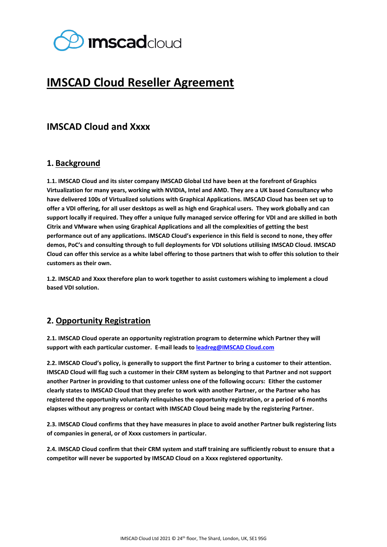

# **IMSCAD Cloud Reseller Agreement**

# **IMSCAD Cloud and Xxxx**

## **1. Background**

**1.1. IMSCAD Cloud and its sister company IMSCAD Global Ltd have been at the forefront of Graphics Virtualization for many years, working with NVIDIA, Intel and AMD. They are a UK based Consultancy who have delivered 100s of Virtualized solutions with Graphical Applications. IMSCAD Cloud has been set up to offer a VDI offering, for all user desktops as well as high end Graphical users. They work globally and can support locally if required. They offer a unique fully managed service offering for VDI and are skilled in both Citrix and VMware when using Graphical Applications and all the complexities of getting the best performance out of any applications. IMSCAD Cloud's experience in this field is second to none, they offer demos, PoC's and consulting through to full deployments for VDI solutions utilising IMSCAD Cloud. IMSCAD Cloud can offer this service as a white label offering to those partners that wish to offer this solution to their customers as their own.** 

**1.2. IMSCAD and Xxxx therefore plan to work together to assist customers wishing to implement a cloud based VDI solution.**

#### **2. Opportunity Registration**

**2.1. IMSCAD Cloud operate an opportunity registration program to determine which Partner they will support with each particular customer. E-mail leads t[o leadreg@IMSCAD Cloud.com](mailto:leadreg@theimscloud.com)**

**2.2. IMSCAD Cloud's policy, is generally to support the first Partner to bring a customer to their attention. IMSCAD Cloud will flag such a customer in their CRM system as belonging to that Partner and not support another Partner in providing to that customer unless one of the following occurs: Either the customer clearly states to IMSCAD Cloud that they prefer to work with another Partner, or the Partner who has registered the opportunity voluntarily relinquishes the opportunity registration, or a period of 6 months elapses without any progress or contact with IMSCAD Cloud being made by the registering Partner.**

**2.3. IMSCAD Cloud confirms that they have measures in place to avoid another Partner bulk registering lists of companies in general, or of Xxxx customers in particular.**

**2.4. IMSCAD Cloud confirm that their CRM system and staff training are sufficiently robust to ensure that a competitor will never be supported by IMSCAD Cloud on a Xxxx registered opportunity.**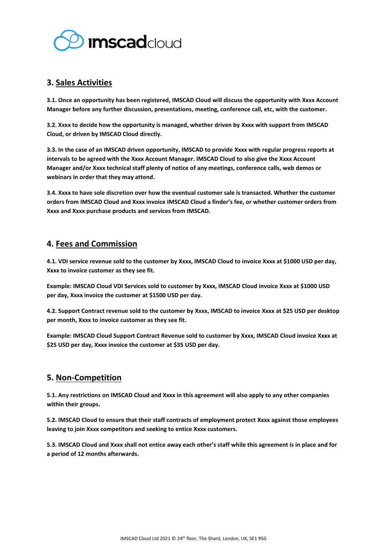

## **3. Sales Activities**

**3.1. Once an opportunity has been registered, IMSCAD Cloud will discuss the opportunity with Xxxx Account Manager before any further discussion, presentations, meeting, conference call, etc, with the customer.** 

**3.2. Xxxx to decide how the opportunity is managed, whether driven by Xxxx with support from IMSCAD Cloud, or driven by IMSCAD Cloud directly.**

**3.3. In the case of an IMSCAD driven opportunity, IMSCAD to provide Xxxx with regular progress reports at intervals to be agreed with the Xxxx Account Manager. IMSCAD Cloud to also give the Xxxx Account Manager and/or Xxxx technical staff plenty of notice of any meetings, conference calls, web demos or webinars in order that they may attend.**

**3.4. Xxxx to have sole discretion over how the eventual customer sale is transacted. Whether the customer orders from IMSCAD Cloud and Xxxx invoice IMSCAD Cloud a finder's fee, or whether customer orders from Xxxx and Xxxx purchase products and services from IMSCAD.**

## **4. Fees and Commission**

**4.1. VDI service revenue sold to the customer by Xxxx, IMSCAD Cloud to invoice Xxxx at \$1000 USD per day, Xxxx to invoice customer as they see fit.**

**Example: IMSCAD Cloud VDI Services sold to customer by Xxxx, IMSCAD Cloud invoice Xxxx at \$1000 USD per day, Xxxx invoice the customer at \$1500 USD per day.** 

**4.2. Support Contract revenue sold to the customer by Xxxx, IMSCAD to invoice Xxxx at \$25 USD per desktop per month, Xxxx to invoice customer as they see fit.**

**Example: IMSCAD Cloud Support Contract Revenue sold to customer by Xxxx, IMSCAD Cloud invoice Xxxx at \$25 USD per day, Xxxx invoice the customer at \$35 USD per day.** 

#### **5. Non-Competition**

**5.1. Any restrictions on IMSCAD Cloud and Xxxx in this agreement will also apply to any other companies within their groups.**

**5.2. IMSCAD Cloud to ensure that their staff contracts of employment protect Xxxx against those employees leaving to join Xxxx competitors and seeking to entice Xxxx customers.**

**5.3. IMSCAD Cloud and Xxxx shall not entice away each other's staff while this agreement is in place and for a period of 12 months afterwards.**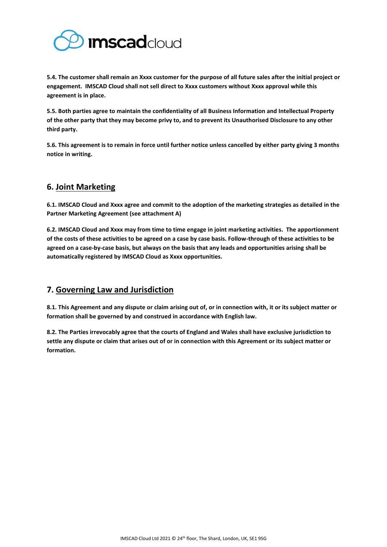

**5.4. The customer shall remain an Xxxx customer for the purpose of all future sales after the initial project or engagement. IMSCAD Cloud shall not sell direct to Xxxx customers without Xxxx approval while this agreement is in place.** 

**5.5. Both parties agree to maintain the confidentiality of all Business Information and Intellectual Property of the other party that they may become privy to, and to prevent its Unauthorised Disclosure to any other third party.**

**5.6. This agreement is to remain in force until further notice unless cancelled by either party giving 3 months notice in writing.**

# **6. Joint Marketing**

**6.1. IMSCAD Cloud and Xxxx agree and commit to the adoption of the marketing strategies as detailed in the Partner Marketing Agreement (see attachment A)**

**6.2. IMSCAD Cloud and Xxxx may from time to time engage in joint marketing activities. The apportionment of the costs of these activities to be agreed on a case by case basis. Follow-through of these activities to be agreed on a case-by-case basis, but always on the basis that any leads and opportunities arising shall be automatically registered by IMSCAD Cloud as Xxxx opportunities.**

# **7. Governing Law and Jurisdiction**

**8.1. This Agreement and any dispute or claim arising out of, or in connection with, it or its subject matter or formation shall be governed by and construed in accordance with English law.** 

**8.2. The Parties irrevocably agree that the courts of England and Wales shall have exclusive jurisdiction to settle any dispute or claim that arises out of or in connection with this Agreement or its subject matter or formation.**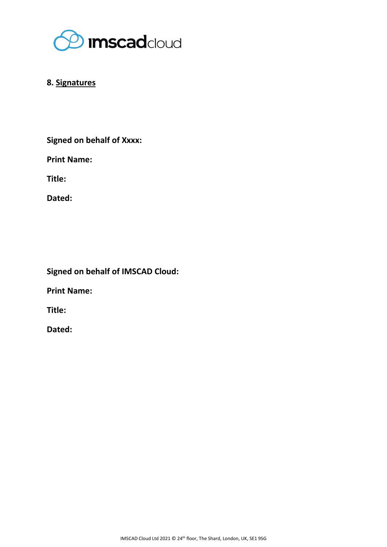

# **8. Signatures**

**Signed on behalf of Xxxx:** 

**Print Name:**

**Title:**

**Dated:**

**Signed on behalf of IMSCAD Cloud:**

**Print Name:** 

**Title:**

**Dated:**